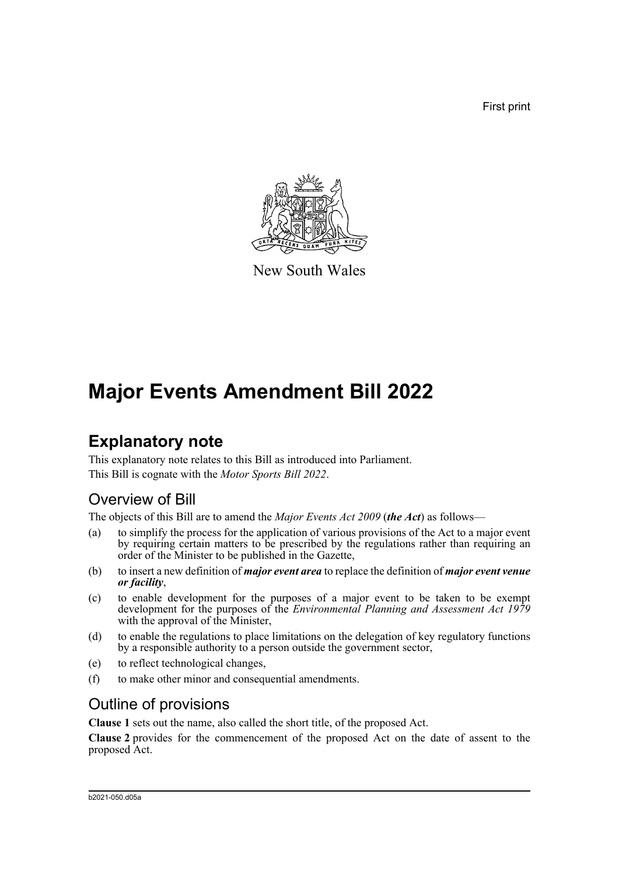First print



New South Wales

## **Major Events Amendment Bill 2022**

### **Explanatory note**

This explanatory note relates to this Bill as introduced into Parliament. This Bill is cognate with the *Motor Sports Bill 2022*.

### Overview of Bill

The objects of this Bill are to amend the *Major Events Act 2009* (*the Act*) as follows—

- (a) to simplify the process for the application of various provisions of the Act to a major event by requiring certain matters to be prescribed by the regulations rather than requiring an order of the Minister to be published in the Gazette,
- (b) to insert a new definition of *major event area* to replace the definition of *major event venue or facility*,
- (c) to enable development for the purposes of a major event to be taken to be exempt development for the purposes of the *Environmental Planning and Assessment Act 1979* with the approval of the Minister.
- (d) to enable the regulations to place limitations on the delegation of key regulatory functions by a responsible authority to a person outside the government sector,
- (e) to reflect technological changes,
- (f) to make other minor and consequential amendments.

### Outline of provisions

**Clause 1** sets out the name, also called the short title, of the proposed Act.

**Clause 2** provides for the commencement of the proposed Act on the date of assent to the proposed Act.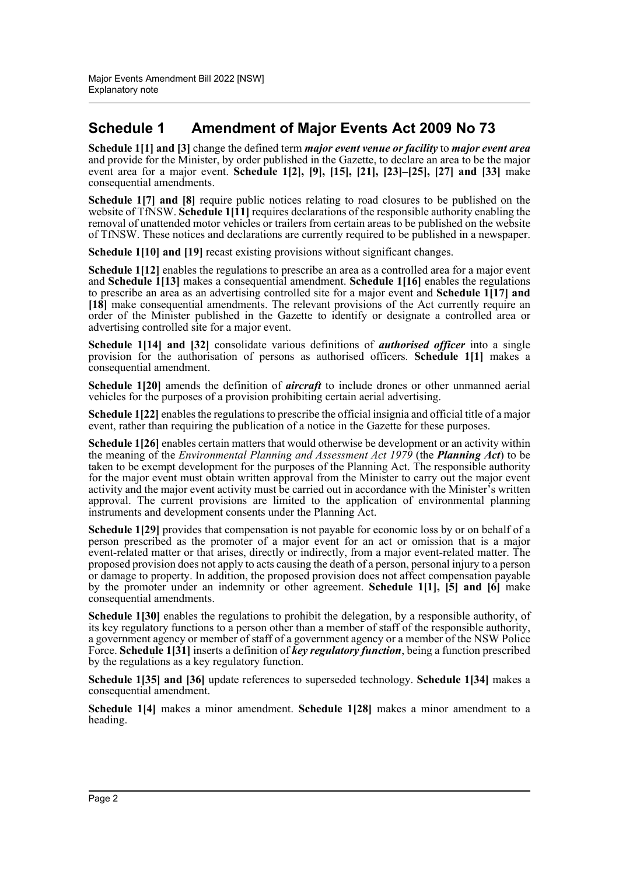#### **Schedule 1 Amendment of Major Events Act 2009 No 73**

**Schedule 1[1] and [3]** change the defined term *major event venue or facility* to *major event area* and provide for the Minister, by order published in the Gazette, to declare an area to be the major event area for a major event. **Schedule 1[2], [9], [15], [21], [23]–[25], [27] and [33]** make consequential amendments.

**Schedule 1[7] and [8]** require public notices relating to road closures to be published on the website of TfNSW. **Schedule 1[11]** requires declarations of the responsible authority enabling the removal of unattended motor vehicles or trailers from certain areas to be published on the website of TfNSW. These notices and declarations are currently required to be published in a newspaper.

**Schedule 1[10] and [19]** recast existing provisions without significant changes.

**Schedule 1[12]** enables the regulations to prescribe an area as a controlled area for a major event and **Schedule 1[13]** makes a consequential amendment. **Schedule 1[16]** enables the regulations to prescribe an area as an advertising controlled site for a major event and **Schedule 1[17] and [18]** make consequential amendments. The relevant provisions of the Act currently require an order of the Minister published in the Gazette to identify or designate a controlled area or advertising controlled site for a major event.

**Schedule 1[14] and [32]** consolidate various definitions of *authorised officer* into a single provision for the authorisation of persons as authorised officers. **Schedule 1[1]** makes a consequential amendment.

**Schedule 1[20]** amends the definition of *aircraft* to include drones or other unmanned aerial vehicles for the purposes of a provision prohibiting certain aerial advertising.

**Schedule 1[22]** enables the regulations to prescribe the official insignia and official title of a major event, rather than requiring the publication of a notice in the Gazette for these purposes.

**Schedule 1[26]** enables certain matters that would otherwise be development or an activity within the meaning of the *Environmental Planning and Assessment Act 1979* (the *Planning Act*) to be taken to be exempt development for the purposes of the Planning Act. The responsible authority for the major event must obtain written approval from the Minister to carry out the major event activity and the major event activity must be carried out in accordance with the Minister's written approval. The current provisions are limited to the application of environmental planning instruments and development consents under the Planning Act.

**Schedule 1[29]** provides that compensation is not payable for economic loss by or on behalf of a person prescribed as the promoter of a major event for an act or omission that is a major event-related matter or that arises, directly or indirectly, from a major event-related matter. The proposed provision does not apply to acts causing the death of a person, personal injury to a person or damage to property. In addition, the proposed provision does not affect compensation payable by the promoter under an indemnity or other agreement. **Schedule 1[1], [5] and [6]** make consequential amendments.

**Schedule 1[30]** enables the regulations to prohibit the delegation, by a responsible authority, of its key regulatory functions to a person other than a member of staff of the responsible authority, a government agency or member of staff of a government agency or a member of the NSW Police Force. **Schedule 1[31]** inserts a definition of *key regulatory function*, being a function prescribed by the regulations as a key regulatory function.

**Schedule 1[35] and [36]** update references to superseded technology. **Schedule 1[34]** makes a consequential amendment.

**Schedule 1[4]** makes a minor amendment. **Schedule 1[28]** makes a minor amendment to a heading.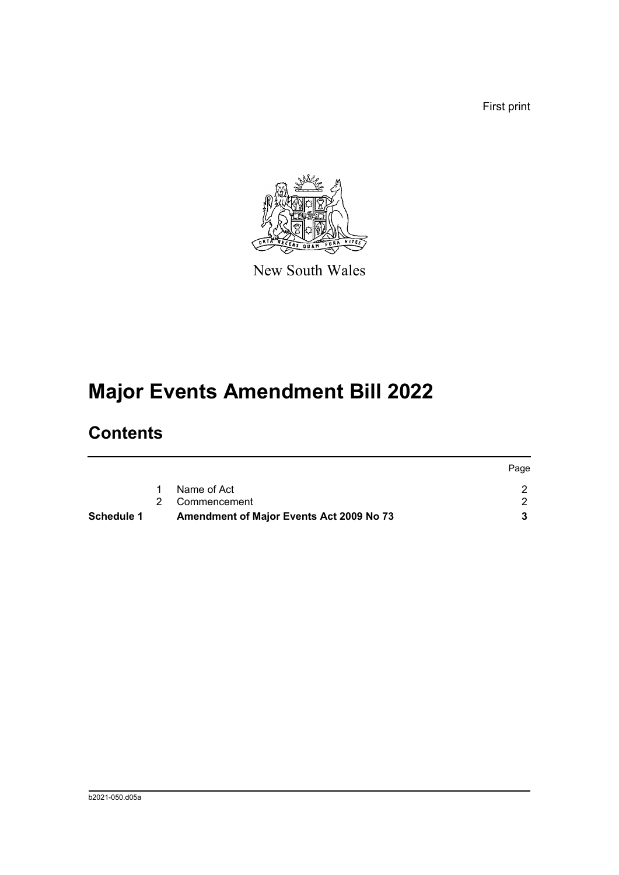First print



New South Wales

# **Major Events Amendment Bill 2022**

### **Contents**

|            |                                                 | Page |
|------------|-------------------------------------------------|------|
|            | Name of Act                                     |      |
|            | 2 Commencement                                  |      |
| Schedule 1 | <b>Amendment of Major Events Act 2009 No 73</b> |      |
|            |                                                 |      |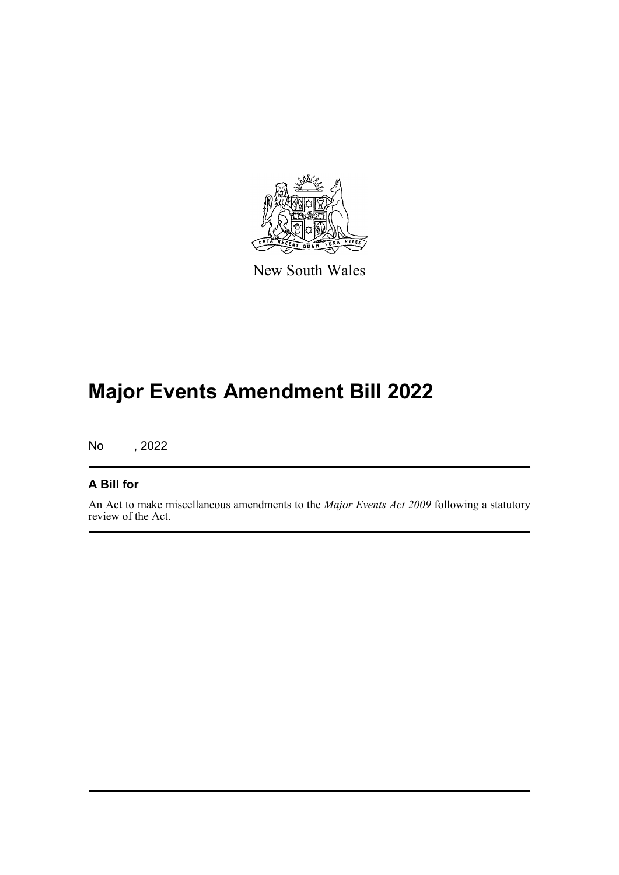

New South Wales

## **Major Events Amendment Bill 2022**

No , 2022

#### **A Bill for**

An Act to make miscellaneous amendments to the *Major Events Act 2009* following a statutory review of the Act.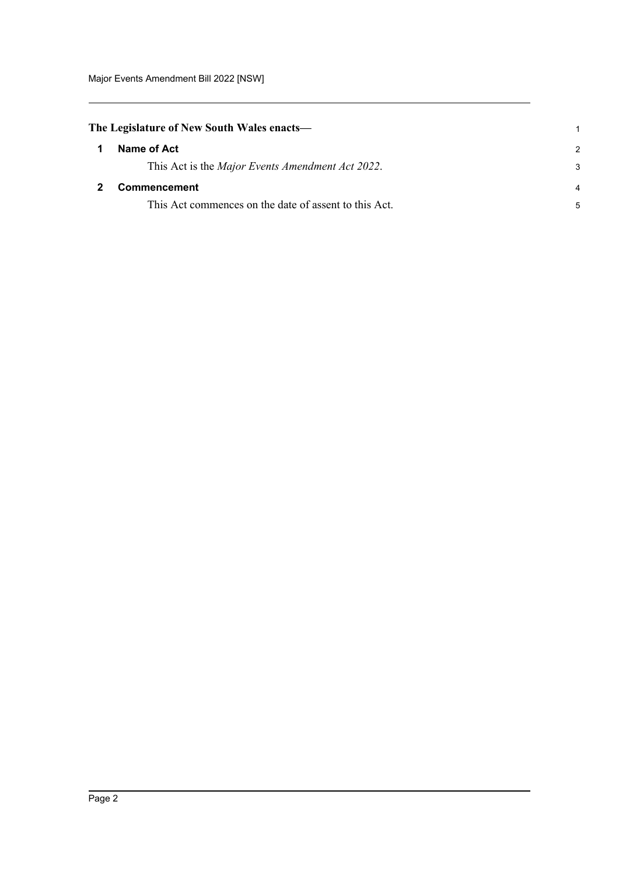<span id="page-4-1"></span><span id="page-4-0"></span>

| The Legislature of New South Wales enacts— |                                                          |               |
|--------------------------------------------|----------------------------------------------------------|---------------|
| $\mathbf 1$                                | Name of Act                                              | $\mathcal{P}$ |
|                                            | This Act is the <i>Major Events Amendment Act 2022</i> . | 3             |
|                                            | Commencement                                             | 4             |
|                                            | This Act commences on the date of assent to this Act.    | 5             |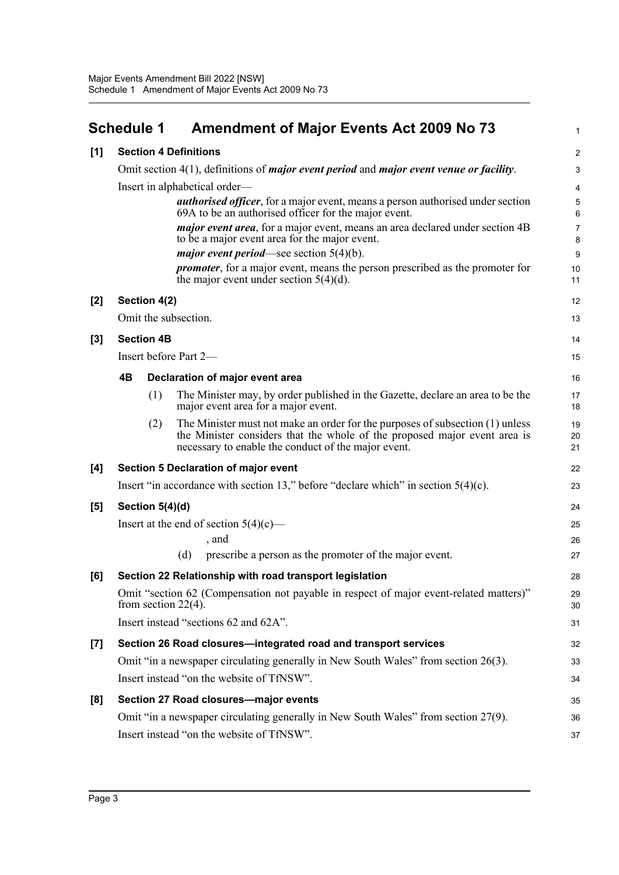<span id="page-5-0"></span>

| <b>Schedule 1</b> | <b>Amendment of Major Events Act 2009 No 73</b> |
|-------------------|-------------------------------------------------|
|                   |                                                 |

1

| [1]   | <b>Section 4 Definitions</b>                                                                                     |                               |                                                                                                                                                                                                                   |                |  |  |
|-------|------------------------------------------------------------------------------------------------------------------|-------------------------------|-------------------------------------------------------------------------------------------------------------------------------------------------------------------------------------------------------------------|----------------|--|--|
|       |                                                                                                                  |                               | Omit section 4(1), definitions of <i>major event period</i> and <i>major event venue or facility</i> .                                                                                                            | 3              |  |  |
|       |                                                                                                                  | Insert in alphabetical order— |                                                                                                                                                                                                                   |                |  |  |
|       |                                                                                                                  |                               | <b><i>authorised officer</i></b> , for a major event, means a person authorised under section<br>69A to be an authorised officer for the major event.                                                             | 5<br>6         |  |  |
|       |                                                                                                                  |                               | <i>major event area</i> , for a major event, means an area declared under section 4B<br>to be a major event area for the major event.                                                                             | 7<br>8         |  |  |
|       |                                                                                                                  |                               | <i>major event period</i> —see section $5(4)(b)$ .                                                                                                                                                                | 9              |  |  |
|       |                                                                                                                  |                               | <i>promoter</i> , for a major event, means the person prescribed as the promoter for<br>the major event under section $5(4)(d)$ .                                                                                 | 10<br>11       |  |  |
| $[2]$ |                                                                                                                  | Section 4(2)                  |                                                                                                                                                                                                                   | 12             |  |  |
|       |                                                                                                                  |                               | Omit the subsection.                                                                                                                                                                                              | 13             |  |  |
| $[3]$ |                                                                                                                  | <b>Section 4B</b>             |                                                                                                                                                                                                                   | 14             |  |  |
|       |                                                                                                                  |                               | Insert before Part 2-                                                                                                                                                                                             | 15             |  |  |
|       | 4B                                                                                                               |                               | Declaration of major event area                                                                                                                                                                                   | 16             |  |  |
|       |                                                                                                                  | (1)                           | The Minister may, by order published in the Gazette, declare an area to be the<br>major event area for a major event.                                                                                             | 17<br>18       |  |  |
|       |                                                                                                                  | (2)                           | The Minister must not make an order for the purposes of subsection (1) unless<br>the Minister considers that the whole of the proposed major event area is<br>necessary to enable the conduct of the major event. | 19<br>20<br>21 |  |  |
| [4]   |                                                                                                                  |                               | Section 5 Declaration of major event                                                                                                                                                                              | 22             |  |  |
|       |                                                                                                                  |                               | Insert "in accordance with section 13," before "declare which" in section $5(4)(c)$ .                                                                                                                             | 23             |  |  |
| [5]   | Section $5(4)(d)$                                                                                                |                               |                                                                                                                                                                                                                   |                |  |  |
|       | Insert at the end of section $5(4)(c)$ —                                                                         |                               |                                                                                                                                                                                                                   |                |  |  |
|       |                                                                                                                  |                               | , and                                                                                                                                                                                                             | 26             |  |  |
|       |                                                                                                                  |                               | prescribe a person as the promoter of the major event.<br>(d)                                                                                                                                                     | 27             |  |  |
| [6]   |                                                                                                                  |                               | Section 22 Relationship with road transport legislation                                                                                                                                                           | 28             |  |  |
|       | Omit "section 62 (Compensation not payable in respect of major event-related matters)"<br>from section $22(4)$ . |                               |                                                                                                                                                                                                                   |                |  |  |
|       |                                                                                                                  |                               | Insert instead "sections 62 and 62A".                                                                                                                                                                             | 31             |  |  |
| $[7]$ | Section 26 Road closures-integrated road and transport services                                                  |                               |                                                                                                                                                                                                                   |                |  |  |
|       | Omit "in a newspaper circulating generally in New South Wales" from section 26(3).                               |                               |                                                                                                                                                                                                                   |                |  |  |
|       | Insert instead "on the website of TfNSW".                                                                        |                               |                                                                                                                                                                                                                   |                |  |  |
| [8]   |                                                                                                                  |                               | Section 27 Road closures-major events                                                                                                                                                                             | 35             |  |  |
|       |                                                                                                                  |                               | Omit "in a newspaper circulating generally in New South Wales" from section 27(9).                                                                                                                                | 36             |  |  |
|       |                                                                                                                  |                               | Insert instead "on the website of TfNSW".                                                                                                                                                                         | 37             |  |  |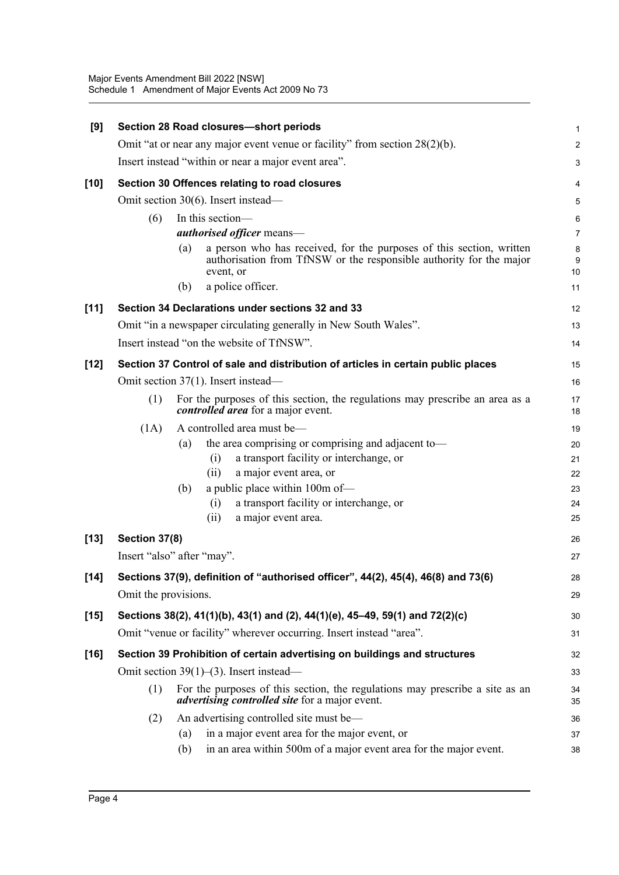| [9]    | Section 28 Road closures-short periods                                           |     |                                                                                                                                                          |              |  |
|--------|----------------------------------------------------------------------------------|-----|----------------------------------------------------------------------------------------------------------------------------------------------------------|--------------|--|
|        | Omit "at or near any major event venue or facility" from section $28(2)(b)$ .    |     |                                                                                                                                                          |              |  |
|        | Insert instead "within or near a major event area".                              |     |                                                                                                                                                          |              |  |
| $[10]$ |                                                                                  |     | Section 30 Offences relating to road closures                                                                                                            | 4            |  |
|        |                                                                                  |     | Omit section 30(6). Insert instead-                                                                                                                      | 5            |  |
|        | (6)                                                                              |     | In this section-                                                                                                                                         | 6            |  |
|        |                                                                                  |     | <i>authorised officer</i> means-                                                                                                                         | 7            |  |
|        |                                                                                  | (a) | a person who has received, for the purposes of this section, written<br>authorisation from TfNSW or the responsible authority for the major<br>event, or | 8<br>9<br>10 |  |
|        |                                                                                  | (b) | a police officer.                                                                                                                                        | 11           |  |
| $[11]$ |                                                                                  |     | Section 34 Declarations under sections 32 and 33                                                                                                         | 12           |  |
|        |                                                                                  |     | Omit "in a newspaper circulating generally in New South Wales".                                                                                          | 13           |  |
|        |                                                                                  |     | Insert instead "on the website of TfNSW".                                                                                                                | 14           |  |
| $[12]$ | Section 37 Control of sale and distribution of articles in certain public places |     |                                                                                                                                                          | 15           |  |
|        | Omit section 37(1). Insert instead—                                              |     |                                                                                                                                                          |              |  |
|        | (1)                                                                              |     | For the purposes of this section, the regulations may prescribe an area as a<br><i>controlled area</i> for a major event.                                | 17<br>18     |  |
|        | (1A)                                                                             |     | A controlled area must be-                                                                                                                               | 19           |  |
|        |                                                                                  | (a) | the area comprising or comprising and adjacent to-                                                                                                       | 20           |  |
|        |                                                                                  |     | a transport facility or interchange, or<br>(i)                                                                                                           | 21           |  |
|        |                                                                                  |     | a major event area, or<br>(ii)                                                                                                                           | 22           |  |
|        |                                                                                  | (b) | a public place within 100m of-                                                                                                                           | 23           |  |
|        |                                                                                  |     | a transport facility or interchange, or<br>(i)<br>(ii)                                                                                                   | 24           |  |
|        |                                                                                  |     | a major event area.                                                                                                                                      | 25           |  |
| $[13]$ | Section 37(8)                                                                    |     |                                                                                                                                                          | 26           |  |
|        | Insert "also" after "may".                                                       |     |                                                                                                                                                          | 27           |  |
| $[14]$ |                                                                                  |     | Sections 37(9), definition of "authorised officer", 44(2), 45(4), 46(8) and 73(6)                                                                        | 28           |  |
|        | Omit the provisions.                                                             |     |                                                                                                                                                          |              |  |
| $[15]$ |                                                                                  |     | Sections 38(2), 41(1)(b), 43(1) and (2), 44(1)(e), 45–49, 59(1) and 72(2)(c)                                                                             | 30           |  |
|        |                                                                                  |     | Omit "venue or facility" wherever occurring. Insert instead "area".                                                                                      | 31           |  |
| $[16]$ |                                                                                  |     | Section 39 Prohibition of certain advertising on buildings and structures                                                                                | 32           |  |
|        | Omit section $39(1)$ – $(3)$ . Insert instead–                                   |     |                                                                                                                                                          |              |  |
|        | (1)                                                                              |     | For the purposes of this section, the regulations may prescribe a site as an<br><i>advertising controlled site</i> for a major event.                    | 34<br>35     |  |
|        | (2)                                                                              |     | An advertising controlled site must be—                                                                                                                  | 36           |  |
|        |                                                                                  | (a) | in a major event area for the major event, or                                                                                                            | 37           |  |
|        |                                                                                  | (b) | in an area within 500m of a major event area for the major event.                                                                                        | 38           |  |
|        |                                                                                  |     |                                                                                                                                                          |              |  |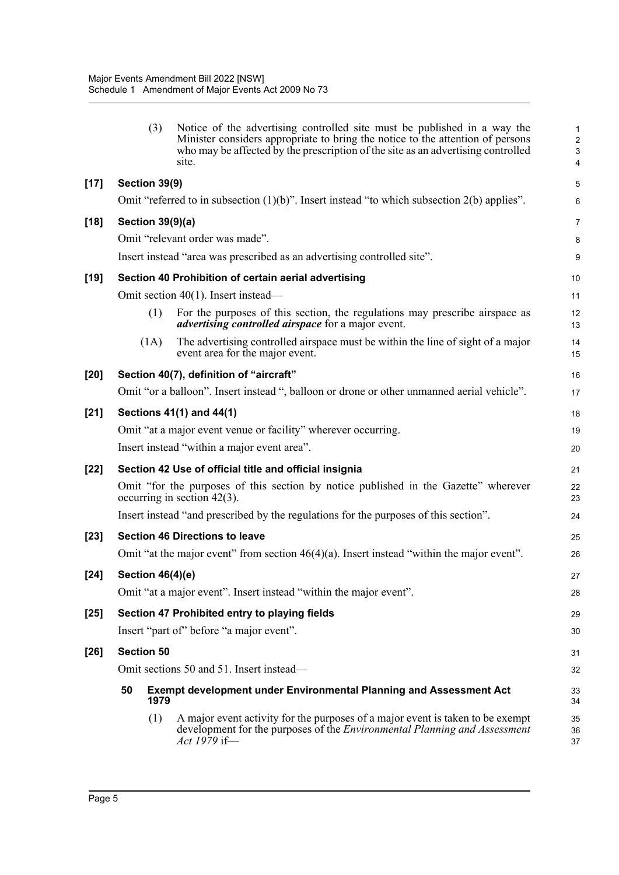|        | (3)                                                                                     | Notice of the advertising controlled site must be published in a way the<br>Minister considers appropriate to bring the notice to the attention of persons<br>who may be affected by the prescription of the site as an advertising controlled<br>site. | $\mathbf{1}$<br>$\sqrt{2}$<br>3<br>4 |  |  |
|--------|-----------------------------------------------------------------------------------------|---------------------------------------------------------------------------------------------------------------------------------------------------------------------------------------------------------------------------------------------------------|--------------------------------------|--|--|
| $[17]$ | Section 39(9)                                                                           |                                                                                                                                                                                                                                                         |                                      |  |  |
|        |                                                                                         | Omit "referred to in subsection $(1)(b)$ ". Insert instead "to which subsection $2(b)$ applies".                                                                                                                                                        | 6                                    |  |  |
| $[18]$ | <b>Section 39(9)(a)</b>                                                                 |                                                                                                                                                                                                                                                         | $\overline{7}$                       |  |  |
|        |                                                                                         | Omit "relevant order was made".                                                                                                                                                                                                                         | 8                                    |  |  |
|        |                                                                                         | Insert instead "area was prescribed as an advertising controlled site".                                                                                                                                                                                 | $\boldsymbol{9}$                     |  |  |
| $[19]$ | Section 40 Prohibition of certain aerial advertising                                    |                                                                                                                                                                                                                                                         |                                      |  |  |
|        |                                                                                         | Omit section 40(1). Insert instead—                                                                                                                                                                                                                     | 11                                   |  |  |
|        | (1)                                                                                     | For the purposes of this section, the regulations may prescribe airspace as<br><i>advertising controlled airspace</i> for a major event.                                                                                                                | 12<br>13                             |  |  |
|        | (1A)                                                                                    | The advertising controlled airspace must be within the line of sight of a major<br>event area for the major event.                                                                                                                                      | 14<br>15                             |  |  |
| $[20]$ | Section 40(7), definition of "aircraft"                                                 |                                                                                                                                                                                                                                                         |                                      |  |  |
|        |                                                                                         | Omit "or a balloon". Insert instead ", balloon or drone or other unmanned aerial vehicle".                                                                                                                                                              | 17                                   |  |  |
| $[21]$ | Sections 41(1) and 44(1)                                                                |                                                                                                                                                                                                                                                         |                                      |  |  |
|        |                                                                                         | Omit "at a major event venue or facility" wherever occurring.                                                                                                                                                                                           | 19                                   |  |  |
|        |                                                                                         | Insert instead "within a major event area".                                                                                                                                                                                                             | 20                                   |  |  |
| $[22]$ | Section 42 Use of official title and official insignia                                  |                                                                                                                                                                                                                                                         |                                      |  |  |
|        |                                                                                         | Omit "for the purposes of this section by notice published in the Gazette" wherever<br>occurring in section $42(3)$ .                                                                                                                                   | 22<br>23                             |  |  |
|        |                                                                                         | Insert instead "and prescribed by the regulations for the purposes of this section".                                                                                                                                                                    | 24                                   |  |  |
| $[23]$ |                                                                                         | <b>Section 46 Directions to leave</b>                                                                                                                                                                                                                   | 25                                   |  |  |
|        |                                                                                         | Omit "at the major event" from section $46(4)(a)$ . Insert instead "within the major event".                                                                                                                                                            | 26                                   |  |  |
| $[24]$ | <b>Section 46(4)(e)</b>                                                                 |                                                                                                                                                                                                                                                         | 27                                   |  |  |
|        |                                                                                         | Omit "at a major event". Insert instead "within the major event".                                                                                                                                                                                       | 28                                   |  |  |
| $[25]$ |                                                                                         | Section 47 Prohibited entry to playing fields                                                                                                                                                                                                           | 29                                   |  |  |
|        |                                                                                         | Insert "part of" before "a major event".                                                                                                                                                                                                                | 30                                   |  |  |
| $[26]$ | <b>Section 50</b>                                                                       |                                                                                                                                                                                                                                                         |                                      |  |  |
|        |                                                                                         | Omit sections 50 and 51. Insert instead—                                                                                                                                                                                                                | 32                                   |  |  |
|        | 50<br><b>Exempt development under Environmental Planning and Assessment Act</b><br>1979 |                                                                                                                                                                                                                                                         |                                      |  |  |
|        | (1)                                                                                     | A major event activity for the purposes of a major event is taken to be exempt<br>development for the purposes of the <i>Environmental Planning and Assessment</i><br>Act 1979 if—                                                                      | 35<br>36<br>37                       |  |  |
|        |                                                                                         |                                                                                                                                                                                                                                                         |                                      |  |  |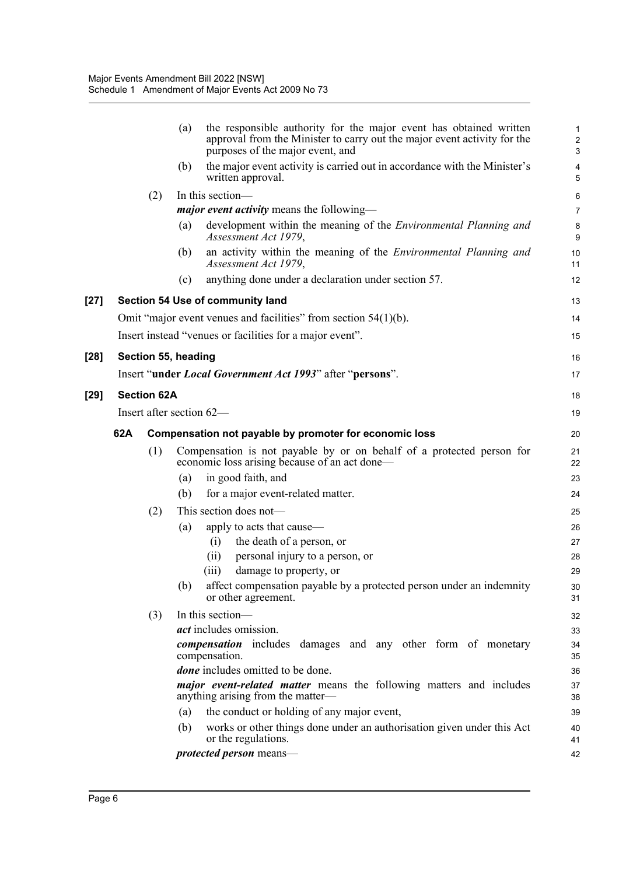|     |                    | the responsible authority for the major event has obtained written<br>(a)<br>approval from the Minister to carry out the major event activity for the<br>purposes of the major event, and | $\mathbf{1}$<br>$\overline{c}$<br>3 |  |
|-----|--------------------|-------------------------------------------------------------------------------------------------------------------------------------------------------------------------------------------|-------------------------------------|--|
|     |                    | the major event activity is carried out in accordance with the Minister's<br>(b)<br>written approval.                                                                                     | $\overline{\mathbf{4}}$<br>5        |  |
|     | (2)                | In this section-                                                                                                                                                                          | 6                                   |  |
|     |                    | <i>major event activity</i> means the following-                                                                                                                                          | $\overline{7}$                      |  |
|     |                    | development within the meaning of the <i>Environmental Planning and</i><br>(a)<br>Assessment Act 1979,                                                                                    | 8<br>9                              |  |
|     |                    | an activity within the meaning of the Environmental Planning and<br>(b)<br>Assessment Act 1979,                                                                                           | 10<br>11                            |  |
|     |                    | anything done under a declaration under section 57.<br>(c)                                                                                                                                | 12                                  |  |
|     |                    | Section 54 Use of community land                                                                                                                                                          | 13                                  |  |
|     |                    | Omit "major event venues and facilities" from section $54(1)(b)$ .                                                                                                                        | 14                                  |  |
|     |                    | Insert instead "venues or facilities for a major event".                                                                                                                                  | 15                                  |  |
|     |                    |                                                                                                                                                                                           |                                     |  |
|     |                    | Section 55, heading                                                                                                                                                                       | 16                                  |  |
|     |                    | Insert "under <i>Local Government Act 1993</i> " after "persons".                                                                                                                         | 17                                  |  |
|     | <b>Section 62A</b> |                                                                                                                                                                                           | 18                                  |  |
|     |                    | Insert after section 62-                                                                                                                                                                  | 19                                  |  |
| 62A |                    | Compensation not payable by promoter for economic loss                                                                                                                                    |                                     |  |
|     | (1)                | Compensation is not payable by or on behalf of a protected person for                                                                                                                     | 20<br>21                            |  |
|     |                    | economic loss arising because of an act done—                                                                                                                                             | 22                                  |  |
|     |                    | in good faith, and<br>(a)                                                                                                                                                                 | 23                                  |  |
|     |                    | (b)<br>for a major event-related matter.                                                                                                                                                  | 24                                  |  |
|     | (2)                | This section does not—                                                                                                                                                                    | 25                                  |  |
|     |                    | apply to acts that cause—<br>(a)                                                                                                                                                          | 26                                  |  |
|     |                    | the death of a person, or<br>(i)                                                                                                                                                          | 27                                  |  |
|     |                    | (ii)<br>personal injury to a person, or                                                                                                                                                   | 28                                  |  |
|     |                    | damage to property, or<br>(iii)                                                                                                                                                           | 29                                  |  |
|     |                    | affect compensation payable by a protected person under an indemnity<br>(b)<br>or other agreement.                                                                                        | 30<br>31                            |  |
|     | (3)                | In this section-                                                                                                                                                                          | 32                                  |  |
|     |                    | <i>act</i> includes omission.                                                                                                                                                             | 33                                  |  |
|     |                    | <b><i>compensation</i></b> includes damages and any other form of monetary<br>compensation.                                                                                               | 34<br>35                            |  |
|     |                    | <i>done</i> includes omitted to be done.                                                                                                                                                  |                                     |  |
|     |                    | major event-related matter means the following matters and includes<br>anything arising from the matter-                                                                                  | 37<br>38                            |  |
|     |                    | the conduct or holding of any major event,<br>(a)                                                                                                                                         | 39                                  |  |
|     |                    | works or other things done under an authorisation given under this Act<br>(b)<br>or the regulations.                                                                                      | 40<br>41                            |  |
|     |                    | protected person means-                                                                                                                                                                   | 42                                  |  |

**[27]** 

[28]

**[29]**